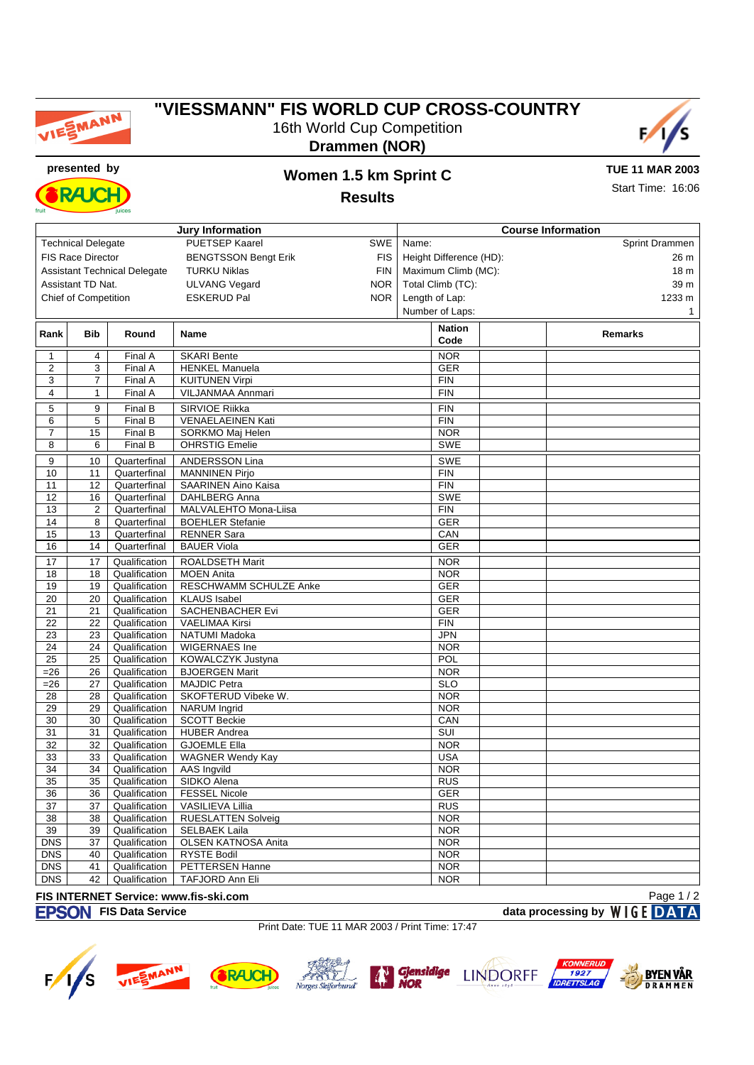

## **"VIESSMANN" FIS WORLD CUP CROSS-COUNTRY** 16th World Cup Competition



**Drammen (NOR)**



## **presented by Women 1.5 km Sprint C**

**TUE 11 MAR 2003** Start Time: 16:06

**Results**

| <b>Jury Information</b> |                                                                        |               |                                       | <b>Course Information</b> |                         |                  |              |                |             |  |
|-------------------------|------------------------------------------------------------------------|---------------|---------------------------------------|---------------------------|-------------------------|------------------|--------------|----------------|-------------|--|
|                         | <b>Technical Delegate</b>                                              |               | <b>PUETSEP Kaarel</b>                 | SWE                       | Name:                   |                  |              | Sprint Drammen |             |  |
|                         | <b>FIS Race Director</b>                                               |               | <b>BENGTSSON Bengt Erik</b>           | <b>FIS</b>                | Height Difference (HD): |                  |              |                |             |  |
|                         |                                                                        |               | <b>TURKU Niklas</b>                   | <b>FIN</b>                | Maximum Climb (MC):     |                  |              |                |             |  |
|                         | <b>Assistant Technical Delegate</b><br>Assistant TD Nat.<br><b>NOR</b> |               |                                       | Total Climb (TC):         |                         |                  | 18 m<br>39 m |                |             |  |
|                         |                                                                        |               | <b>ULVANG Vegard</b>                  |                           |                         |                  |              |                |             |  |
|                         | Chief of Competition                                                   |               | <b>ESKERUD Pal</b>                    | <b>NOR</b>                |                         | Length of Lap:   |              |                | 1233 m      |  |
|                         |                                                                        |               |                                       |                           |                         | Number of Laps:  |              |                | $\mathbf 1$ |  |
| Rank                    | <b>Bib</b>                                                             | Round         |                                       |                           |                         | <b>Nation</b>    |              | <b>Remarks</b> |             |  |
|                         |                                                                        |               | Name                                  |                           |                         | Code             |              |                |             |  |
|                         | 4                                                                      | Final A       | <b>SKARI Bente</b>                    |                           |                         | <b>NOR</b>       |              |                |             |  |
| 2                       | 3                                                                      | Final A       | <b>HENKEL Manuela</b>                 |                           |                         | <b>GER</b>       |              |                |             |  |
| 3                       | 7                                                                      | Final A       | <b>KUITUNEN Virpi</b>                 |                           |                         | <b>FIN</b>       |              |                |             |  |
| 4                       | 1                                                                      | Final A       | VILJANMAA Annmari                     |                           |                         | <b>FIN</b>       |              |                |             |  |
| 5                       | 9                                                                      | Final B       | SIRVIOE Riikka                        |                           |                         | <b>FIN</b>       |              |                |             |  |
| 6                       | 5                                                                      | Final B       | VENAELAEINEN Kati                     |                           |                         | <b>FIN</b>       |              |                |             |  |
| 7                       | 15                                                                     | Final B       | SORKMO Maj Helen                      |                           |                         | <b>NOR</b>       |              |                |             |  |
| 8                       | 6                                                                      | Final B       | <b>OHRSTIG Emelie</b>                 |                           |                         | <b>SWE</b>       |              |                |             |  |
|                         |                                                                        |               |                                       |                           |                         |                  |              |                |             |  |
| 9                       | 10                                                                     | Quarterfinal  | <b>ANDERSSON Lina</b>                 |                           |                         | <b>SWE</b>       |              |                |             |  |
| 10                      | 11                                                                     | Quarterfinal  | <b>MANNINEN Pirjo</b>                 |                           |                         | <b>FIN</b>       |              |                |             |  |
| 11                      | 12                                                                     | Quarterfinal  | <b>SAARINEN Aino Kaisa</b>            |                           |                         | <b>FIN</b>       |              |                |             |  |
| 12                      | 16                                                                     | Quarterfinal  | <b>DAHLBERG Anna</b>                  |                           |                         | SWE              |              |                |             |  |
| 13                      | $\overline{2}$                                                         | Quarterfinal  | MALVALEHTO Mona-Liisa                 |                           |                         | <b>FIN</b>       |              |                |             |  |
| 14                      | 8                                                                      | Quarterfinal  | <b>BOEHLER Stefanie</b>               |                           |                         | GER              |              |                |             |  |
| 15                      | 13                                                                     | Quarterfinal  | <b>RENNER Sara</b>                    |                           |                         | CAN              |              |                |             |  |
| 16                      | 14                                                                     | Quarterfinal  | <b>BAUER Viola</b>                    |                           |                         | <b>GER</b>       |              |                |             |  |
| 17                      | 17                                                                     | Qualification | <b>ROALDSETH Marit</b>                |                           |                         | <b>NOR</b>       |              |                |             |  |
| 18                      | 18                                                                     | Qualification | <b>MOEN Anita</b>                     |                           |                         | <b>NOR</b>       |              |                |             |  |
| 19                      | 19                                                                     | Qualification | RESCHWAMM SCHULZE Anke                |                           |                         | <b>GER</b>       |              |                |             |  |
| 20                      | 20                                                                     | Qualification | <b>KLAUS</b> Isabel                   |                           |                         | <b>GER</b>       |              |                |             |  |
| 21                      | 21                                                                     | Qualification | SACHENBACHER Evi                      |                           |                         | <b>GER</b>       |              |                |             |  |
| 22                      | $\overline{22}$                                                        | Qualification | <b>VAELIMAA Kirsi</b>                 |                           |                         | FIN              |              |                |             |  |
| 23                      | 23                                                                     | Qualification | NATUMI Madoka                         |                           |                         | <b>JPN</b>       |              |                |             |  |
| 24                      | 24                                                                     | Qualification | <b>WIGERNAES Ine</b>                  |                           |                         | <b>NOR</b>       |              |                |             |  |
| $\overline{25}$         | 25                                                                     | Qualification | KOWALCZYK Justyna                     |                           |                         | POL              |              |                |             |  |
| $= 26$                  | 26                                                                     | Qualification | <b>BJOERGEN Marit</b>                 |                           |                         | <b>NOR</b>       |              |                |             |  |
| $= 26$                  | 27                                                                     | Qualification | <b>MAJDIC Petra</b>                   |                           |                         | $\overline{SLO}$ |              |                |             |  |
| 28                      | 28                                                                     | Qualification | SKOFTERUD Vibeke W.                   |                           |                         | <b>NOR</b>       |              |                |             |  |
| 29                      | 29                                                                     | Qualification | <b>NARUM</b> Ingrid                   |                           |                         | <b>NOR</b>       |              |                |             |  |
| 30                      | 30                                                                     | Qualification | <b>SCOTT Beckie</b>                   |                           |                         | CAN              |              |                |             |  |
| 31                      | 31                                                                     | Qualification | <b>HUBER Andrea</b>                   |                           |                         | SUI              |              |                |             |  |
| 32                      | 32                                                                     | Qualification | <b>GJOEMLE Ella</b>                   |                           |                         | <b>NOR</b>       |              |                |             |  |
| 33                      | 33                                                                     | Qualification | <b>WAGNER Wendy Kay</b>               |                           |                         | <b>USA</b>       |              |                |             |  |
| 34                      | 34                                                                     | Qualification | AAS Ingvild                           |                           |                         | <b>NOR</b>       |              |                |             |  |
| 35                      | 35                                                                     | Qualification | SIDKO Alena                           |                           |                         | <b>RUS</b>       |              |                |             |  |
| 36                      | $\overline{36}$                                                        | Qualification | <b>FESSEL Nicole</b>                  |                           |                         | <b>GER</b>       |              |                |             |  |
| 37                      | 37                                                                     | Qualification | VASILIEVA Lillia                      |                           |                         | <b>RUS</b>       |              |                |             |  |
| 38                      | 38                                                                     | Qualification | <b>RUESLATTEN Solveig</b>             |                           |                         | <b>NOR</b>       |              |                |             |  |
| 39                      | 39                                                                     | Qualification | <b>SELBAEK Laila</b>                  |                           |                         | <b>NOR</b>       |              |                |             |  |
| <b>DNS</b>              | 37                                                                     | Qualification | OLSEN KATNOSA Anita                   |                           |                         | <b>NOR</b>       |              |                |             |  |
| <b>DNS</b>              | 40                                                                     | Qualification | RYSTE Bodil                           |                           |                         | <b>NOR</b>       |              |                |             |  |
| <b>DNS</b>              | 41                                                                     | Qualification | PETTERSEN Hanne                       |                           |                         | <b>NOR</b>       |              |                |             |  |
| <b>DNS</b>              | 42                                                                     | Qualification | TAFJORD Ann Eli                       |                           |                         | <b>NOR</b>       |              |                |             |  |
|                         |                                                                        |               | FIS INTERNET Service: www.fis-ski.com |                           |                         |                  |              |                | Page 1 / 2  |  |

**FISON** FIS Data Service **data processing by** WIGE DATA

Page 1 / 2

Print Date: TUE 11 MAR 2003 / Print Time: 17:47